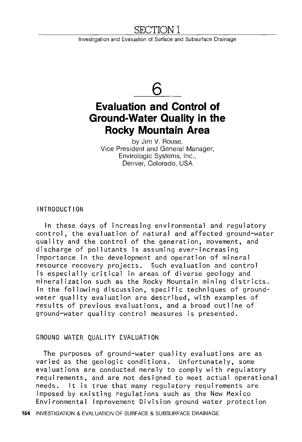### <u>SECTION 1</u>

Investigation and Evaluation of Surface and Subsurface Drainage

# **6**

## **Evaluation and Control of Ground-Water Quality in the Rocky Mountain Area**

by Jim V. Rouse, Vice President and General Manager, Envirologic Systems, Inc., Denver, Colorado, USA

INTRODUCTION

In these days of increasing environmental and regulatory control, the evaluation of natural and affected ground-water quality and the control of the generation, movement, and discharge of pollutants is assuming ever-increasing importance in the development and operation of mineral resource recovery projects. Such evaluation and control is especially critical in areas of diverse geology and mineralization such as the Rocky Mountain mining districts. In the following discussion, specific techniques of groundwater quality evaluation are described, with examples of results of previous evaluations, and a broad outline of ground-water quality control measures is presented.

#### GROUND WATER QUALITY EVALUATION

The purposes of ground-water quality evaluations are as varied as the geologic conditions. Unfortunately, some evaluations are conducted merely to comply with regulatory requirements, and are not designed to meet actual operational needs. It is true that many regulatory requirements are imposed by existing regulations such as the New Mexico Environmental Improvement Division ground water protection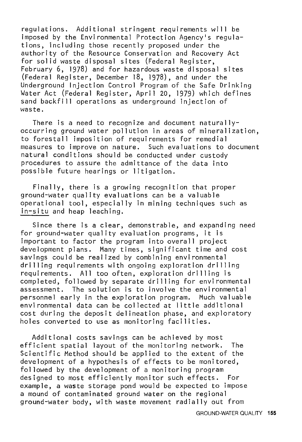regulations. Additional stringent requirements will be imposed by the Environmental Protection Agency's regulations, including those recently proposed under the authority of the Resource Conservation and Recovery Act for solid waste disposal sites (Federal Register, February 6, 1978) and for hazardous waste disposal sites (Federal Register, December 18, 1978), and under the Underground Injection Control Program of the Safe Drinking Water Act (Federal Register, April 20, 1979) which defines sand backfill operations as underground injection of waste.

There is a need to recognize and document naturallyoccurring ground water pollution in areas of mineralization, to forestall imposition of requirements for remedial measures to improve on nature. Such evaluations to document natural conditions should be conducted under custody procedures to assure the admittance of the data into possible future hearings or litigation.

Finally, there is a growing recognition that proper ground-water quality evaluations can be a valuable operational tool, especially in mining techniques such as in-situ and heap leaching.

Since there is a clear, demonstrable, and expanding need for ground-water quality evaluation programs, it is important to factor the program into overall project development plans. Many times, significant time and cost savings could be realized by combining environmental drilling requirements with ongoing exploration drilling requirements. All too often, exploration drilling is completed, followed by separate drilling for environmental assessment. The solution is to involve the environmental personnel early in the exploration program. Much valuable environmental data can be collected at little additional cost during the deposit delineation phase, and exploratory holes converted to use as monitoring facilities.

Additional costs savings can be achieved by most efficient spatial layout of the monitoring network. The Scientific Method should be applied to the extent of the development of a hypothesis of effects to be monitored, followed by the development of a monitoring program designed to most efficiently monitor such effects. For example, a waste storage pond would be expected to impose a mound of contaminated ground water on the regional ground-water body, with waste movement radially out from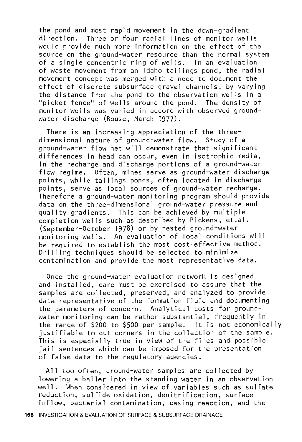the pond and most rapid movement in the down-gradient Three or four radial lines of monitor wells would provide much more information on the effect of the source on the ground-water resource than the normal system of a single concentric ring of wells. In an evaluation of waste movement from an Idaho tailings pond, the radial movement concept was merged with a need to document the effect of discrete subsurface gravel channels, by varying the distance from the pond to the observation wells in a "picket fence" of wells around the pond. The density of monitor wells was varied in accord with observed groundwater discharge (Rouse, March 1977).

There is an increasing appreciation of the threedimensional nature of ground-water flow. Study of a ground-water flow net will demonstrate that significant differences in head can occur, even in isotrophic media, in the recharge and discharge portions of a ground-water flow regime. Often, mines serve as ground-water discharge points, while tailings ponds, often located in discharge points, serve as local sources of ground-water recharge. Therefore a ground-water monitoring program should provide data on the three-dimensional ground-water pressure and quality gradients. This can be achieved by multiple completion wells such as described by Pickens, et.al. (September-October 1978) or by nested ground-water monitoring wells. An evaluation of local conditions will be required to establish the most cost-effective method. Drilling techniques should be selected to minimize contamination and provide the most representative data.

Once the ground-water evaluation network is designed and installed, care must be exercised to assure that the samples are collected, preserved, and analyzed to provide data representative of the formation fluid and documenting the parameters of concern. Analytical costs for groundwater monitoring can be rather substantial, frequently in the range of \$200 to \$500 per sample. It is not economically justifiable to cut corners in the collection of the sample. This is especially true in view of the fines and possible jail sentences which can be imposed for the presentation of false data to the regulatory agencies.

All too often, ground-water samples are collected by lowering a bailer into the standing water in an observation well. When considered in view of variables such as sulfate reduction, sulfide oxidation, denitrification, surface inflow, bacterial contamination, casing reaction, and the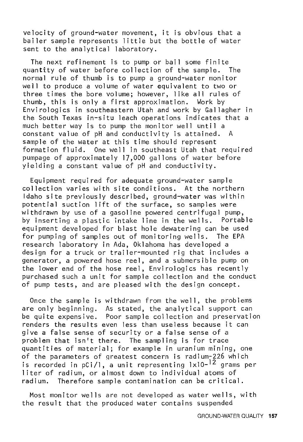velocity of ground-water movement, it is obvious that a bailer sample represents little but the bottle of water sent to the analytical laboratory.

The next refinement is to pump or bail some finite quantity of water before collection of the sample. The normal rule of thumb is to pump a ground-water monitor well to produce a volume of water equivalent to two or three times the bore volume; however, like all rules of thumb, this is only a first approximation. Work by Envirologics in southeastern Utah and work by Gal Jagher in the South Texas in-situ leach operations indicates that a much better way is to pump the monitor well until a constant value of pH and conductivity is attained. A sample of the water at this time should represent formation fluid. One well in southeast Utah that required pumpage of approximately 17,000 gallons of water before yielding a constant value of pH and conductivity.

Equipment required for adequate ground-water sample collection varies with site conditions. At the northern Idaho site previously described, ground-water was within potential suction lift of the surface, so samples were withdrawn by use of a gasoline powered centrifugal pump, by inserting a plastic intake line in the wells. Portable equipment developed for blast hole dewatering can be used for pumping of samples out of monitoring wells. The EPA research laboratory in Ada, Oklahoma has developed a design for a truck or trailer-mounted rig that includes a generator, a powered hose reel, and a submersible pump on the lower end of the hose reel, Envirologics has recently purchased such a unit for sample collection and the conduct of pump tests, and are pleased with the design concept.

Once the sample is withdrawn from the well, the problems are only beginning. As stated, the analytical support can be quite expensive. Poor sample collection and preservation renders the results even less than useless because it can give a false sense of security or a false sense of a problem that isn't there. The sampling is for trace quantities of material; for example in uranium mining, one of the parameters of greatest concern is radium-226 which is recorded in pCi/l, a unit representing lxlO-<sup>12</sup> grams per liter of radium, or almost down to individual atoms of radium. Therefore sample contamination can be critical.

Most monitor wells are not developed as water wells, with the result that the produced water contains suspended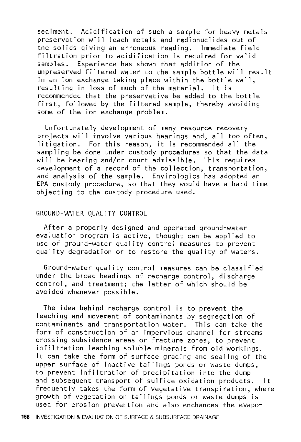sediment. Acidification of such a sample for heavy metals preservation will leach metals and radionuclides out of the solids giving an erroneous reading. Immediate field filtration prior to acidification is required for valid samples. Experience has shown that addition of the unpreserved filtered water to the sample bottle will result in an ion exchange taking place within the bottle wall, resulting in loss of much of the material. recommended that the preservative be added to the bottle first, followed by the filtered sample, thereby avoiding some of the ion exchange problem.

Unfortunately development of many resource recovery projects will involve various hearings and, all too often, litigation. For this reason, it is recommended all the sampling be done under custody procedures so that the data will be hearing and/or court admissible. This requires development of a record of the collection, transportation, and analysis of the sample. Envirologics has adopted an EPA custody procedure, so that they would have a hard time objecting to the custody procedure used.

#### GROUND-WATER QUALITY CONTROL

After a properly designed and operated ground-water evaluation program is active, thought can be applied to use of ground-water quality control measures to prevent quality degradation or to restore the quality of waters.

Ground-water quality control measures can be classified under the broad headings of recharge control, discharge control, and treatment; the latter of which should be avoided whenever possible.

The idea behind recharge control is to prevent the leaching and movement of contaminants by segregation of contaminants and transportation water. This can take the form of construction of an impervious channel for streams crossing subsidence areas or fracture zones, to prevent infiltration leaching soluble minerals from old workings. It can take the form of surface grading and sealing of the upper surface of inactive tailings ponds or waste dumps, to prevent infiltration of precipitation into the dump and subsequent transport of sulfide oxidation products. It frequently takes the form of vegetative transpiration, where growth of vegetation on tailings ponds or waste dumps is used for erosion prevention and also enchances the evapo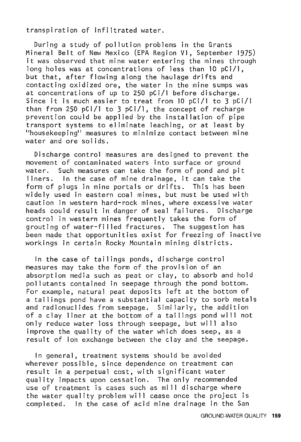transpiration of infiltrated water.

During a study of pollution problems in the Grants Mineral Belt of New Mexico (EPA Region VI, September 1975) it was observed that mine water entering the mines through long holes was at concentrations of less than 10 pCi/I, but that, after flowing along the haulage drifts and contacting oxidized ore, the water in the mine sumps was at concentrations of up to 250 pCi/I before discharge. Since it is much easier to treat from 10 pCi/l to 3 pCi/I than from 250 pCi/I to 3 pCi/I, the concept of recharge prevention could be applied by the installation of pipe "housekeeping" measures to minimize contact between mine water and ore solids.

Discharge control measures are designed to prevent the movement of contamtnated waters into surface or ground water. Such measures can take the form of pond and pit liners. In the case of mine drainage, it can take the form of plugs in mine portals or drifts. This has been widely used in eastern coal mines, but must be used with caution in western hard-rock mines, where excessive water heads could result in danger of seal failures. control in western mines frequently takes the form of grouting of water-filled fractures. The suggestion has been made that opportunities exist for freezing of inactive workings in certain Rocky Mountain mining districts.

In the case of tailings ponds, discharge control measures may take the form of the provision of an absorption media such as peat or clay, to absorb and hold pollutants contained in seepage through the pond bottom. For example, natural peat deposits left at the bottom of a tailings pond have a substantial capacity to sorb metals and radionuclides from seepage. Similarly, the addition of a clay liner at the bottom of a tailings pond will not only reduce water loss through seepage, but will also improve the quality of the water which does seep, as a result of ion exchange between the clay and the seepage.

In general, treatment systems should be avoided wherever possible, since dependence on treatment can result in a perpetual cost, with significant water quality impacts upon cessation. The only recommended use of treatment is cases such as mi 11 discharge where the water quality problem will cease once the project is completed. In the case of acid mine drainage in the San